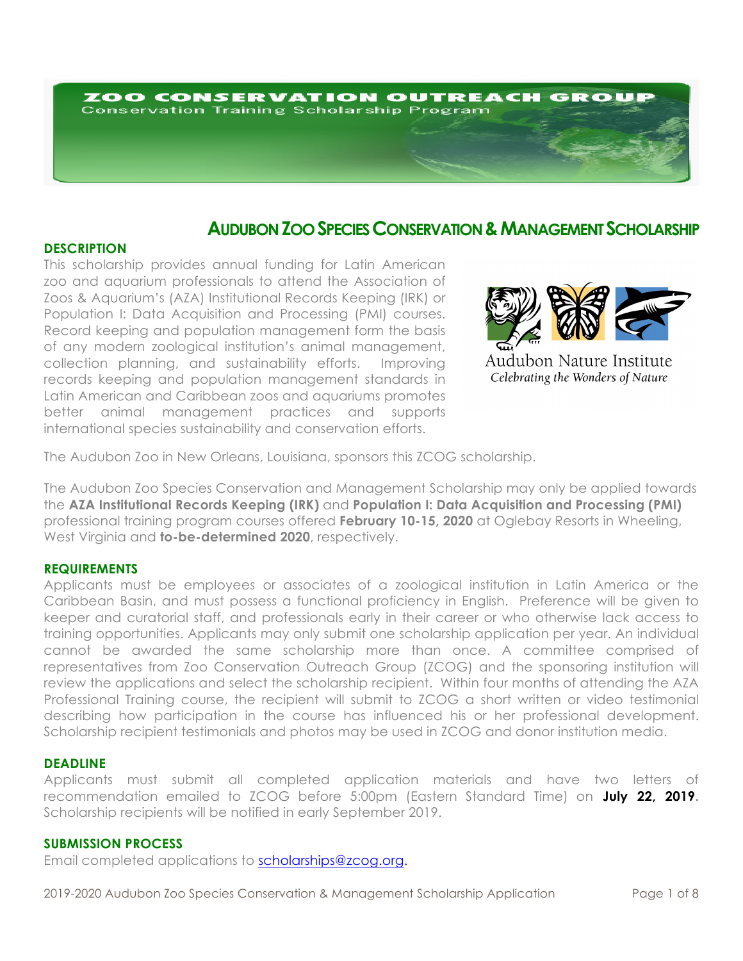# ZOO CONSERVATION OUTREACH GROUP **Conservation Training Scholarship Program**

# **AUDUBON ZOO SPECIES CONSERVATION & MANAGEMENT SCHOLARSHIP**

# **DESCRIPTION**

This scholarship provides annual funding for Latin American zoo and aquarium professionals to attend the Association of Zoos & Aquarium's (AZA) Institutional Records Keeping (IRK) or Population I: Data Acquisition and Processing (PMI) courses. Record keeping and population management form the basis of any modern zoological institution's animal management, collection planning, and sustainability efforts. Improving records keeping and population management standards in Latin American and Caribbean zoos and aquariums promotes better animal management practices and supports international species sustainability and conservation efforts.



Audubon Nature Institute Celebrating the Wonders of Nature

The Audubon Zoo in New Orleans, Louisiana, sponsors this ZCOG scholarship.

The Audubon Zoo Species Conservation and Management Scholarship may only be applied towards the **AZA Institutional Records Keeping (IRK)** and **Population I: Data Acquisition and Processing (PMI)** professional training program courses offered **February 10-15, 2020** at Oglebay Resorts in Wheeling, West Virginia and **to-be-determined 2020**, respectively.

# **REQUIREMENTS**

Applicants must be employees or associates of a zoological institution in Latin America or the Caribbean Basin, and must possess a functional proficiency in English. Preference will be given to keeper and curatorial staff, and professionals early in their career or who otherwise lack access to training opportunities. Applicants may only submit one scholarship application per year. An individual cannot be awarded the same scholarship more than once. A committee comprised of representatives from Zoo Conservation Outreach Group (ZCOG) and the sponsoring institution will review the applications and select the scholarship recipient. Within four months of attending the AZA Professional Training course, the recipient will submit to ZCOG a short written or video testimonial describing how participation in the course has influenced his or her professional development. Scholarship recipient testimonials and photos may be used in ZCOG and donor institution media.

# **DEADLINE**

Applicants must submit all completed application materials and have two letters of recommendation emailed to ZCOG before 5:00pm (Eastern Standard Time) on **July 22, 2019.** Scholarship recipients will be notified in early September 2019.

#### **SUBMISSION PROCESS**

Email completed applications to scholarships@zcog.org.

2019-2020 Audubon Zoo Species Conservation & Management Scholarship Application Page 1 of 8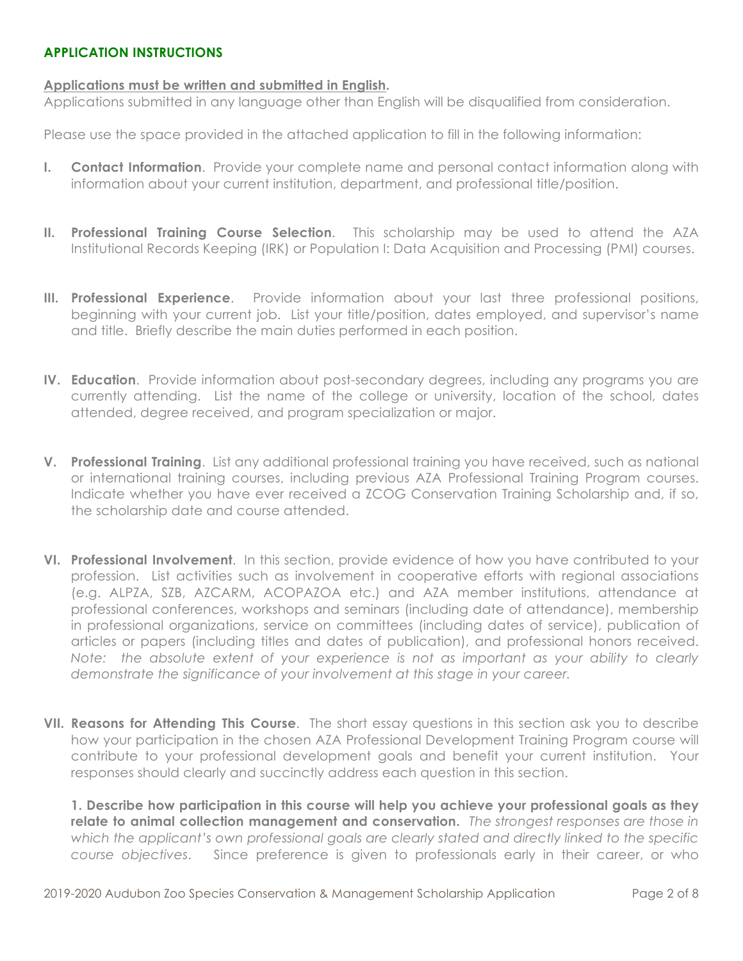# **APPLICATION INSTRUCTIONS**

# **Applications must be written and submitted in English.**

Applications submitted in any language other than English will be disqualified from consideration.

Please use the space provided in the attached application to fill in the following information:

- **I. Contact Information**. Provide your complete name and personal contact information along with information about your current institution, department, and professional title/position.
- **II. Professional Training Course Selection**. This scholarship may be used to attend the AZA Institutional Records Keeping (IRK) or Population I: Data Acquisition and Processing (PMI) courses.
- **III. Professional Experience**. Provide information about your last three professional positions, beginning with your current job. List your title/position, dates employed, and supervisor's name and title. Briefly describe the main duties performed in each position.
- **IV. Education**. Provide information about post-secondary degrees, including any programs you are currently attending. List the name of the college or university, location of the school, dates attended, degree received, and program specialization or major.
- **V. Professional Training**. List any additional professional training you have received, such as national or international training courses, including previous AZA Professional Training Program courses. Indicate whether you have ever received a ZCOG Conservation Training Scholarship and, if so, the scholarship date and course attended.
- **VI. Professional Involvement**. In this section, provide evidence of how you have contributed to your profession. List activities such as involvement in cooperative efforts with regional associations (e.g. ALPZA, SZB, AZCARM, ACOPAZOA etc.) and AZA member institutions, attendance at professional conferences, workshops and seminars (including date of attendance), membership in professional organizations, service on committees (including dates of service), publication of articles or papers (including titles and dates of publication), and professional honors received. *Note: the absolute extent of your experience is not as important as your ability to clearly demonstrate the significance of your involvement at this stage in your career.*
- **VII. Reasons for Attending This Course**. The short essay questions in this section ask you to describe how your participation in the chosen AZA Professional Development Training Program course will contribute to your professional development goals and benefit your current institution. Your responses should clearly and succinctly address each question in this section.

**1. Describe how participation in this course will help you achieve your professional goals as they relate to animal collection management and conservation.** *The strongest responses are those in which the applicant's own professional goals are clearly stated and directly linked to the specific course objectives*. Since preference is given to professionals early in their career, or who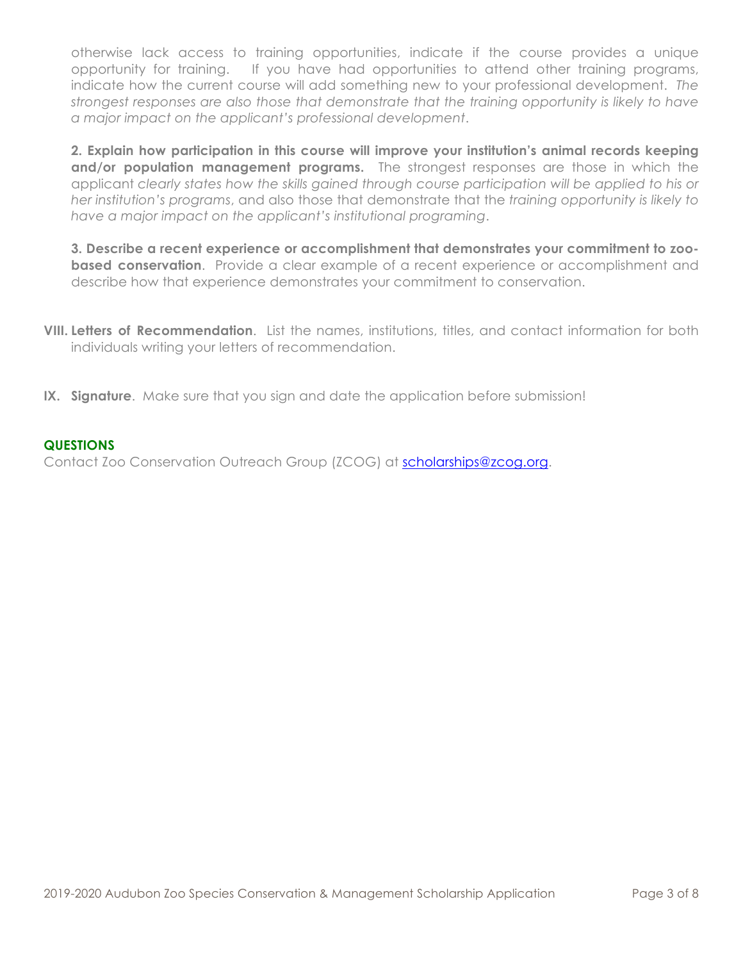otherwise lack access to training opportunities, indicate if the course provides a unique opportunity for training. If you have had opportunities to attend other training programs, indicate how the current course will add something new to your professional development. *The strongest responses are also those that demonstrate that the training opportunity is likely to have a major impact on the applicant's professional development*.

**2. Explain how participation in this course will improve your institution's animal records keeping and/or population management programs.** The strongest responses are those in which the applicant *clearly states how the skills gained through course participation will be applied to his or her institution's programs*, and also those that demonstrate that the *training opportunity is likely to have a major impact on the applicant's institutional programing*.

**3. Describe a recent experience or accomplishment that demonstrates your commitment to zoobased conservation**. Provide a clear example of a recent experience or accomplishment and describe how that experience demonstrates your commitment to conservation.

- **VIII. Letters of Recommendation**. List the names, institutions, titles, and contact information for both individuals writing your letters of recommendation.
- **IX. Signature**. Make sure that you sign and date the application before submission!

# **QUESTIONS**

Contact Zoo Conservation Outreach Group (ZCOG) at scholarships@zcog.org.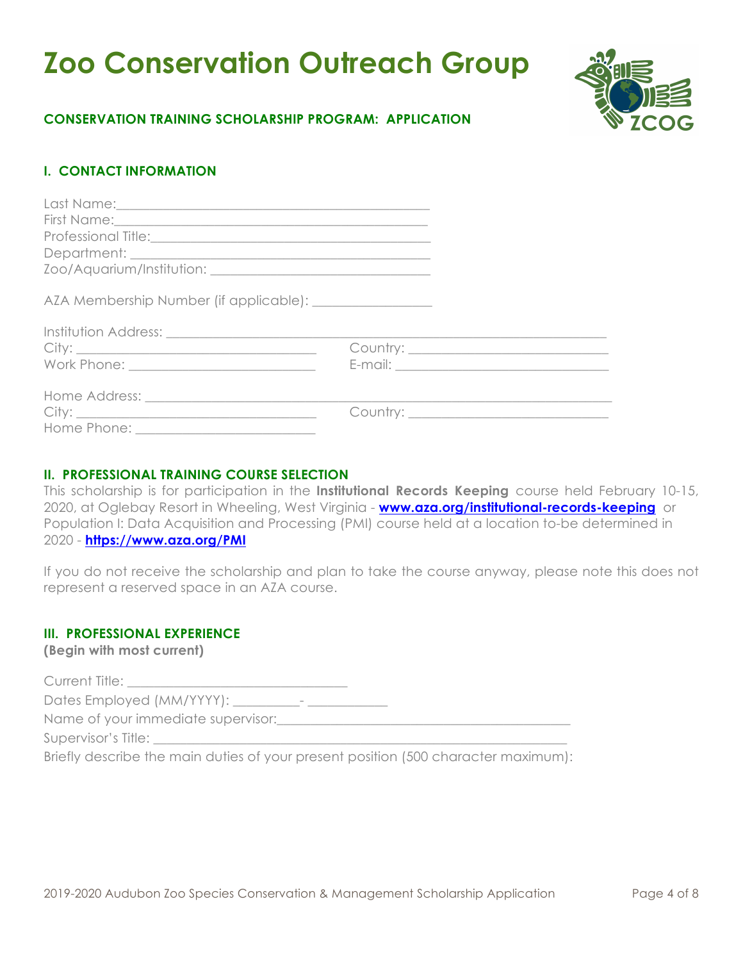# **Zoo Conservation Outreach Group**



# **CONSERVATION TRAINING SCHOLARSHIP PROGRAM: APPLICATION**

# **I. CONTACT INFORMATION**

# **II. PROFESSIONAL TRAINING COURSE SELECTION**

This scholarship is for participation in the **Institutional Records Keeping** course held February 10-15, 2020, at Oglebay Resort in Wheeling, West Virginia - **www.aza.org/institutional-records-keeping** or Population I: Data Acquisition and Processing (PMI) course held at a location to-be determined in 2020 - **https://www.aza.org/PMI**

If you do not receive the scholarship and plan to take the course anyway, please note this does not represent a reserved space in an AZA course.

# **III. PROFESSIONAL EXPERIENCE**

**(Begin with most current)**

Current Title:

Dates Employed (MM/YYYY): \_\_\_\_\_\_\_\_\_\_- \_\_\_\_\_\_\_\_\_\_\_\_

Name of your immediate supervisor:

Supervisor's Title:

Briefly describe the main duties of your present position (500 character maximum):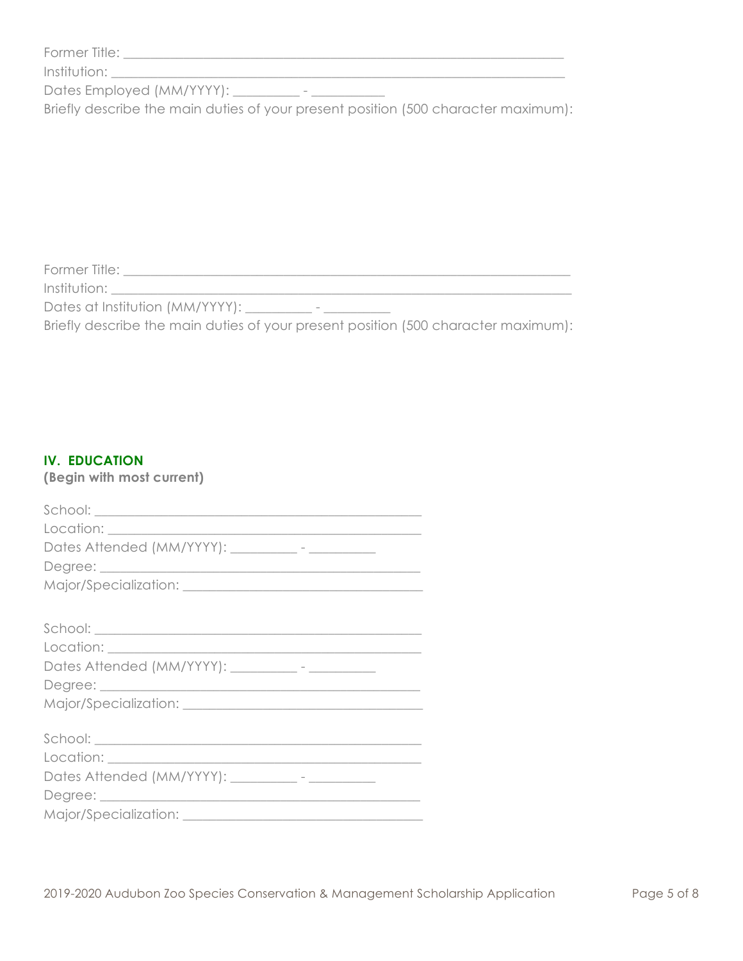| Former Title: |  |
|---------------|--|
|               |  |

Institution: \_\_\_\_\_\_\_\_\_\_\_\_\_\_\_\_\_\_\_\_\_\_\_\_\_\_\_\_\_\_\_\_\_\_\_\_\_\_\_\_\_\_\_\_\_\_\_\_\_\_\_\_\_\_\_\_\_\_\_\_\_\_\_\_\_\_\_\_

Dates Employed (MM/YYYY): \_\_\_\_\_\_\_\_\_\_ - \_\_\_\_\_\_\_\_\_\_\_

Briefly describe the main duties of your present position (500 character maximum):

 $\mathcal{F}_\text{max}$  and the contribution of the contribution of the contribution of the contribution of the contribution of the contribution of the contribution of the contribution of the contribution of the contribution of the

Former Title: \_\_\_\_\_\_\_\_\_\_\_\_\_\_\_\_\_\_\_\_\_\_\_\_\_\_\_\_\_\_\_\_\_\_\_\_\_\_\_\_\_\_\_\_\_\_\_\_\_\_\_\_\_\_\_\_\_\_\_\_\_\_\_\_\_\_\_ Institution: \_\_\_\_\_\_\_\_\_\_\_\_\_\_\_\_\_\_\_\_\_\_\_\_\_\_\_\_\_\_\_\_\_\_\_\_\_\_\_\_\_\_\_\_\_\_\_\_\_\_\_\_\_\_\_\_\_\_\_\_\_\_\_\_\_\_\_\_\_

Dates at Institution (MM/YYYY): \_\_\_\_\_\_\_\_\_\_\_ - \_\_\_\_\_\_\_\_\_\_\_\_

Briefly describe the main duties of your present position (500 character maximum):

# **IV. EDUCATION**

**(Begin with most current)**

| Dates Attended (MM/YYYY): __________- - ______________ |
|--------------------------------------------------------|
|                                                        |
|                                                        |
|                                                        |
|                                                        |
|                                                        |
| Dates Attended (MM/YYYY): __________- - __________     |
|                                                        |
|                                                        |
|                                                        |
|                                                        |
|                                                        |
| Dates Attended (MM/YYYY): __________- - __________     |
|                                                        |
|                                                        |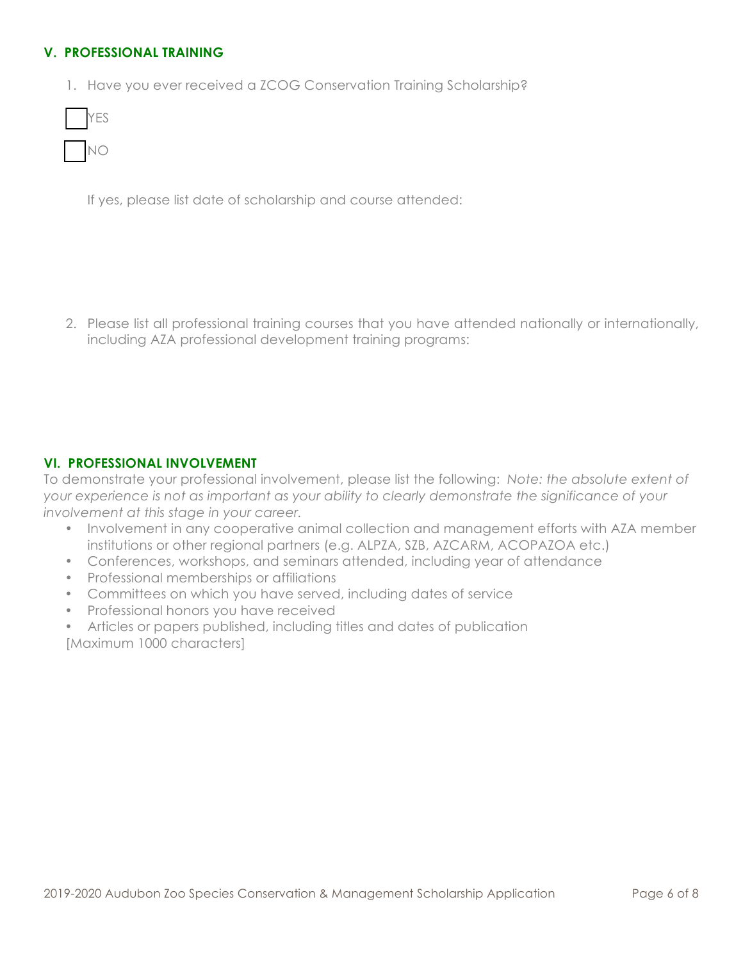# **V. PROFESSIONAL TRAINING**

1. Have you ever received a ZCOG Conservation Training Scholarship?

If yes, please list date of scholarship and course attended:

2. Please list all professional training courses that you have attended nationally or internationally, including AZA professional development training programs:

# **VI. PROFESSIONAL INVOLVEMENT**

To demonstrate your professional involvement, please list the following: *Note: the absolute extent of your experience is not as important as your ability to clearly demonstrate the significance of your involvement at this stage in your career.* 

- Involvement in any cooperative animal collection and management efforts with AZA member institutions or other regional partners (e.g. ALPZA, SZB, AZCARM, ACOPAZOA etc.)
- Conferences, workshops, and seminars attended, including year of attendance
- Professional memberships or affiliations
- Committees on which you have served, including dates of service
- Professional honors you have received
- Articles or papers published, including titles and dates of publication [Maximum 1000 characters]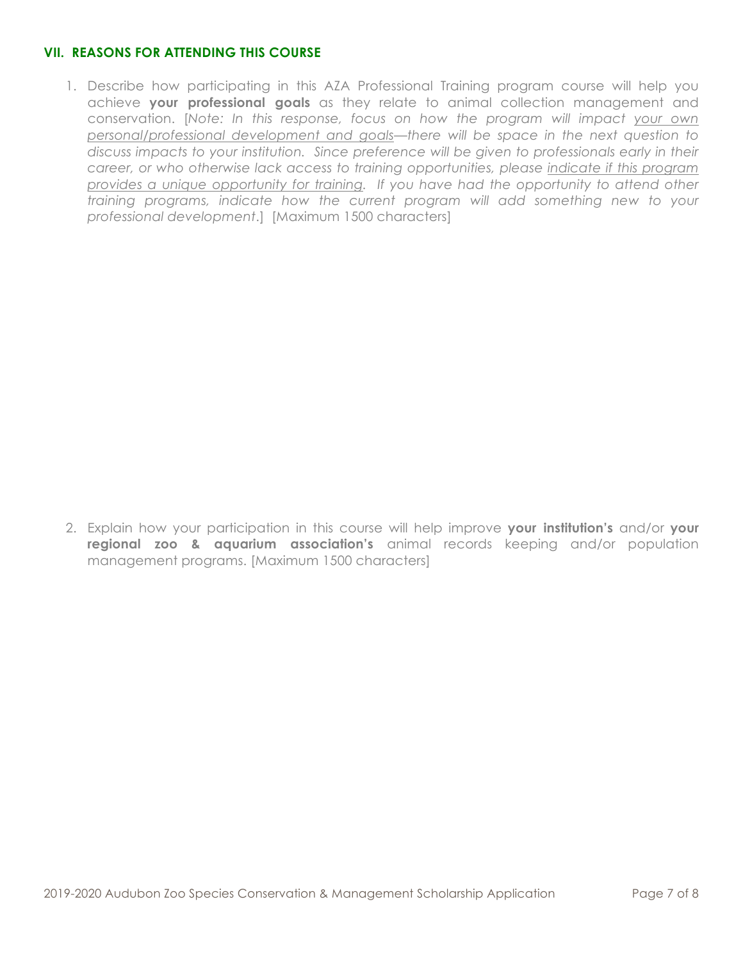# **VII. REASONS FOR ATTENDING THIS COURSE**

1. Describe how participating in this AZA Professional Training program course will help you achieve **your professional goals** as they relate to animal collection management and conservation. [*Note: In this response, focus on how the program will impact your own personal/professional development and goals—there will be space in the next question to discuss impacts to your institution. Since preference will be given to professionals early in their career, or who otherwise lack access to training opportunities, please indicate if this program provides a unique opportunity for training. If you have had the opportunity to attend other training programs, indicate how the current program will add something new to your professional development*.] [Maximum 1500 characters]

2. Explain how your participation in this course will help improve **your institution's** and/or **your regional zoo & aquarium association's** animal records keeping and/or population management programs. [Maximum 1500 characters]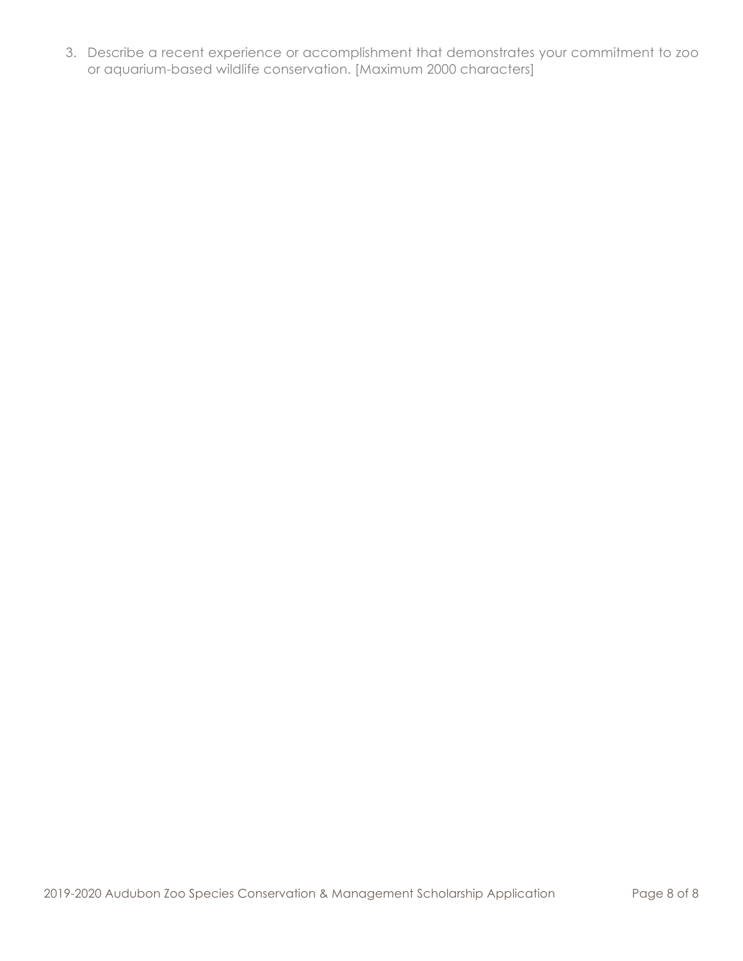3. Describe a recent experience or accomplishment that demonstrates your commitment to zoo or aquarium-based wildlife conservation. [Maximum 2000 characters]